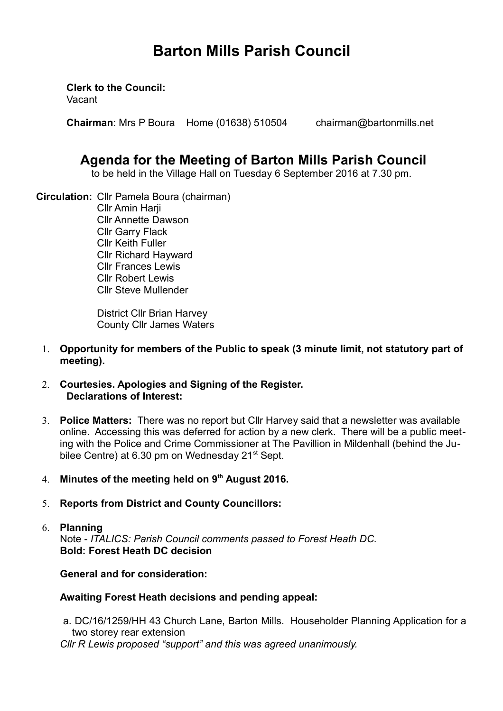# **Barton Mills Parish Council**

**Clerk to the Council:**

Vacant

**Chairman**: Mrs P Boura Home (01638) 510504 chairman@bartonmills.net

## **Agenda for the Meeting of Barton Mills Parish Council**

to be held in the Village Hall on Tuesday 6 September 2016 at 7.30 pm.

**Circulation:** Cllr Pamela Boura (chairman) Cllr Amin Harji Cllr Annette Dawson Cllr Garry Flack Cllr Keith Fuller Cllr Richard Hayward Cllr Frances Lewis Cllr Robert Lewis Cllr Steve Mullender

> District Cllr Brian Harvey County Cllr James Waters

- 1. **Opportunity for members of the Public to speak (3 minute limit, not statutory part of meeting).**
- 2. **Courtesies. Apologies and Signing of the Register. Declarations of Interest:**
- 3. **Police Matters:** There was no report but Cllr Harvey said that a newsletter was available online. Accessing this was deferred for action by a new clerk. There will be a public meeting with the Police and Crime Commissioner at The Pavillion in Mildenhall (behind the Jubilee Centre) at 6.30 pm on Wednesday 21<sup>st</sup> Sept.
- 4. **Minutes of the meeting held on 9th August 2016.**
- 5. **Reports from District and County Councillors:**
- 6. **Planning** Note - *ITALICS: Parish Council comments passed to Forest Heath DC.*  **Bold: Forest Heath DC decision**

## **General and for consideration:**

## **Awaiting Forest Heath decisions and pending appeal:**

 a. DC/16/1259/HH 43 Church Lane, Barton Mills. Householder Planning Application for a two storey rear extension

*Cllr R Lewis proposed "support" and this was agreed unanimously.*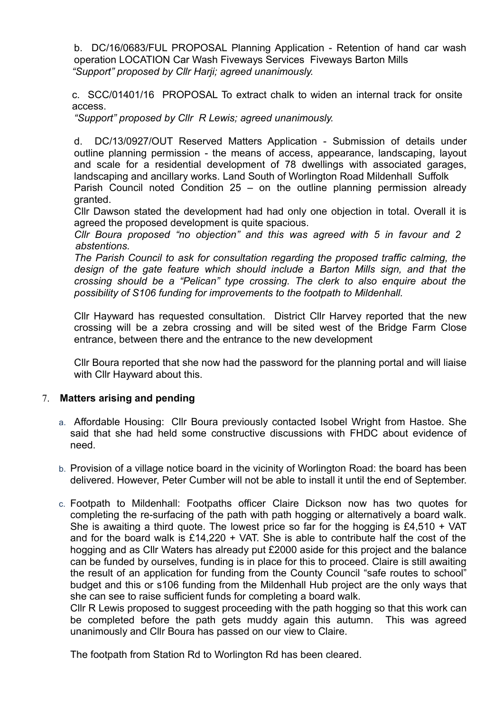b. DC/16/0683/FUL PROPOSAL Planning Application - Retention of hand car wash operation LOCATION Car Wash Fiveways Services Fiveways Barton Mills *"Support" proposed by Cllr Harji; agreed unanimously.*

c. SCC/01401/16 PROPOSAL To extract chalk to widen an internal track for onsite access.

*"Support" proposed by Cllr R Lewis; agreed unanimously.*

d. DC/13/0927/OUT Reserved Matters Application - Submission of details under outline planning permission - the means of access, appearance, landscaping, layout and scale for a residential development of 78 dwellings with associated garages, landscaping and ancillary works. Land South of Worlington Road Mildenhall Suffolk

Parish Council noted Condition 25 – on the outline planning permission already granted.

Cllr Dawson stated the development had had only one objection in total. Overall it is agreed the proposed development is quite spacious.

*Cllr Boura proposed "no objection" and this was agreed with 5 in favour and 2 abstentions.*

*The Parish Council to ask for consultation regarding the proposed traffic calming, the design of the gate feature which should include a Barton Mills sign, and that the crossing should be a "Pelican" type crossing. The clerk to also enquire about the possibility of S106 funding for improvements to the footpath to Mildenhall.*

Cllr Hayward has requested consultation. District Cllr Harvey reported that the new crossing will be a zebra crossing and will be sited west of the Bridge Farm Close entrance, between there and the entrance to the new development

Cllr Boura reported that she now had the password for the planning portal and will liaise with Cllr Hayward about this.

#### 7. **Matters arising and pending**

- a. Affordable Housing: Cllr Boura previously contacted Isobel Wright from Hastoe. She said that she had held some constructive discussions with FHDC about evidence of need.
- b. Provision of a village notice board in the vicinity of Worlington Road: the board has been delivered. However, Peter Cumber will not be able to install it until the end of September.
- c. Footpath to Mildenhall: Footpaths officer Claire Dickson now has two quotes for completing the re-surfacing of the path with path hogging or alternatively a board walk. She is awaiting a third quote. The lowest price so far for the hogging is  $£4,510 + VAT$ and for the board walk is £14,220 + VAT. She is able to contribute half the cost of the hogging and as Cllr Waters has already put £2000 aside for this project and the balance can be funded by ourselves, funding is in place for this to proceed. Claire is still awaiting the result of an application for funding from the County Council "safe routes to school" budget and this or s106 funding from the Mildenhall Hub project are the only ways that she can see to raise sufficient funds for completing a board walk.

Cllr R Lewis proposed to suggest proceeding with the path hogging so that this work can be completed before the path gets muddy again this autumn. This was agreed unanimously and Cllr Boura has passed on our view to Claire.

The footpath from Station Rd to Worlington Rd has been cleared.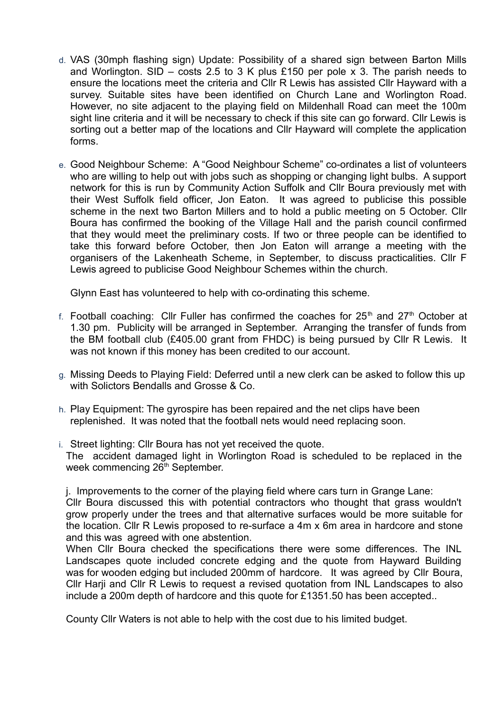- d. VAS (30mph flashing sign) Update: Possibility of a shared sign between Barton Mills and Worlington. SID – costs 2.5 to 3 K plus £150 per pole x 3. The parish needs to ensure the locations meet the criteria and Cllr R Lewis has assisted Cllr Hayward with a survey. Suitable sites have been identified on Church Lane and Worlington Road. However, no site adjacent to the playing field on Mildenhall Road can meet the 100m sight line criteria and it will be necessary to check if this site can go forward. Cllr Lewis is sorting out a better map of the locations and Cllr Hayward will complete the application forms.
- e. Good Neighbour Scheme: A "Good Neighbour Scheme" co-ordinates a list of volunteers who are willing to help out with jobs such as shopping or changing light bulbs. A support network for this is run by Community Action Suffolk and Cllr Boura previously met with their West Suffolk field officer, Jon Eaton. It was agreed to publicise this possible scheme in the next two Barton Millers and to hold a public meeting on 5 October. Cllr Boura has confirmed the booking of the Village Hall and the parish council confirmed that they would meet the preliminary costs. If two or three people can be identified to take this forward before October, then Jon Eaton will arrange a meeting with the organisers of the Lakenheath Scheme, in September, to discuss practicalities. Cllr F Lewis agreed to publicise Good Neighbour Schemes within the church.

Glynn East has volunteered to help with co-ordinating this scheme.

- f. Football coaching: Cllr Fuller has confirmed the coaches for  $25<sup>th</sup>$  and  $27<sup>th</sup>$  October at 1.30 pm. Publicity will be arranged in September. Arranging the transfer of funds from the BM football club (£405.00 grant from FHDC) is being pursued by Cllr R Lewis. It was not known if this money has been credited to our account.
- g. Missing Deeds to Playing Field: Deferred until a new clerk can be asked to follow this up with Solictors Bendalls and Grosse & Co.
- h. Play Equipment: The gyrospire has been repaired and the net clips have been replenished. It was noted that the football nets would need replacing soon.
- i. Street lighting: Cllr Boura has not yet received the quote. The accident damaged light in Worlington Road is scheduled to be replaced in the week commencing 26<sup>th</sup> September.

j. Improvements to the corner of the playing field where cars turn in Grange Lane: Cllr Boura discussed this with potential contractors who thought that grass wouldn't grow properly under the trees and that alternative surfaces would be more suitable for the location. Cllr R Lewis proposed to re-surface a 4m x 6m area in hardcore and stone and this was agreed with one abstention.

When Cllr Boura checked the specifications there were some differences. The INL Landscapes quote included concrete edging and the quote from Hayward Building was for wooden edging but included 200mm of hardcore. It was agreed by Cllr Boura, Cllr Harji and Cllr R Lewis to request a revised quotation from INL Landscapes to also include a 200m depth of hardcore and this quote for £1351.50 has been accepted..

County Cllr Waters is not able to help with the cost due to his limited budget.